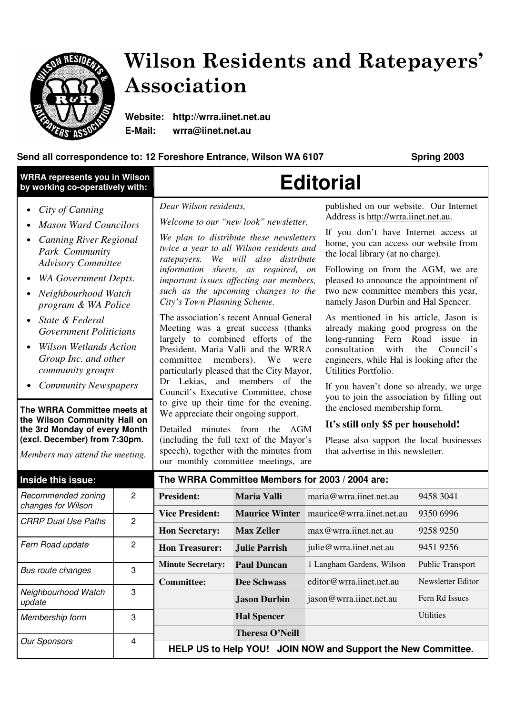

# Wilson Residents and Ratepayers' Association

**Website: http://wrra.iinet.net.au E-Mail: wrra@iinet.net.au**

### **Send all correspondence to: 12 Foreshore Entrance, Wilson WA 6107 Spring 2003**

| <b>WRRA represents you in Wilson</b><br>by working co-operatively with:                                                                                                                                                                                                                                                          |                         | <b>Editorial</b>                                                                                                                                                                                                                                                                                                                                                                                                                                                                                                                                                    |                      |                                                                   |                                                                                                                                                                                                                                                                                                                                                                                                                                       |  |
|----------------------------------------------------------------------------------------------------------------------------------------------------------------------------------------------------------------------------------------------------------------------------------------------------------------------------------|-------------------------|---------------------------------------------------------------------------------------------------------------------------------------------------------------------------------------------------------------------------------------------------------------------------------------------------------------------------------------------------------------------------------------------------------------------------------------------------------------------------------------------------------------------------------------------------------------------|----------------------|-------------------------------------------------------------------|---------------------------------------------------------------------------------------------------------------------------------------------------------------------------------------------------------------------------------------------------------------------------------------------------------------------------------------------------------------------------------------------------------------------------------------|--|
| City of Canning                                                                                                                                                                                                                                                                                                                  |                         | Dear Wilson residents,<br>Welcome to our "new look" newsletter.                                                                                                                                                                                                                                                                                                                                                                                                                                                                                                     |                      |                                                                   | published on our website. Our Internet<br>Address is http://wrra.iinet.net.au.                                                                                                                                                                                                                                                                                                                                                        |  |
| <b>Mason Ward Councilors</b><br><b>Canning River Regional</b><br>Park Community<br><b>Advisory Committee</b>                                                                                                                                                                                                                     |                         | We plan to distribute these newsletters<br>twice a year to all Wilson residents and<br>ratepayers. We will also distribute<br>information sheets, as required, on<br>important issues affecting our members,<br>such as the upcoming changes to the<br>City's Town Planning Scheme.                                                                                                                                                                                                                                                                                 |                      |                                                                   | If you don't have Internet access at<br>home, you can access our website from<br>the local library (at no charge).                                                                                                                                                                                                                                                                                                                    |  |
| <b>WA Government Depts.</b><br>Neighbourhood Watch<br>program & WA Police                                                                                                                                                                                                                                                        |                         |                                                                                                                                                                                                                                                                                                                                                                                                                                                                                                                                                                     |                      |                                                                   | Following on from the AGM, we are<br>pleased to announce the appointment of<br>two new committee members this year,<br>namely Jason Durbin and Hal Spencer.                                                                                                                                                                                                                                                                           |  |
| State & Federal<br><b>Government Politicians</b><br><b>Wilson Wetlands Action</b><br>Group Inc. and other<br>community groups<br><b>Community Newspapers</b><br>The WRRA Committee meets at<br>the Wilson Community Hall on<br>the 3rd Monday of every Month<br>(excl. December) from 7:30pm.<br>Members may attend the meeting. |                         | The association's recent Annual General<br>Meeting was a great success (thanks<br>largely to combined efforts of the<br>President, Maria Valli and the WRRA<br>committee members). We<br>were<br>particularly pleased that the City Mayor,<br>Dr Lekias, and members of the<br>Council's Executive Committee, chose<br>to give up their time for the evening.<br>We appreciate their ongoing support.<br>Detailed minutes from the AGM<br>(including the full text of the Mayor's<br>speech), together with the minutes from<br>our monthly committee meetings, are |                      | consultation<br>with<br>Utilities Portfolio.                      | As mentioned in his article, Jason is<br>already making good progress on the<br>long-running Fern Road<br>issue in<br>the<br>Council's<br>engineers, while Hal is looking after the<br>If you haven't done so already, we urge<br>you to join the association by filling out<br>the enclosed membership form.<br>It's still only \$5 per household!<br>Please also support the local businesses<br>that advertise in this newsletter. |  |
| Inside this issue:                                                                                                                                                                                                                                                                                                               |                         | The WRRA Committee Members for 2003 / 2004 are:                                                                                                                                                                                                                                                                                                                                                                                                                                                                                                                     |                      |                                                                   |                                                                                                                                                                                                                                                                                                                                                                                                                                       |  |
| Recommended zoning<br>changes for Wilson                                                                                                                                                                                                                                                                                         | 2                       | <b>President:</b>                                                                                                                                                                                                                                                                                                                                                                                                                                                                                                                                                   | <b>Maria Valli</b>   | maria@wrra.iinet.net.au                                           | 9458 3041                                                                                                                                                                                                                                                                                                                                                                                                                             |  |
| <b>CRRP Dual Use Paths</b>                                                                                                                                                                                                                                                                                                       | $\overline{c}$          | <b>Vice President:</b><br><b>Hon Secretary:</b>                                                                                                                                                                                                                                                                                                                                                                                                                                                                                                                     | <b>Max Zeller</b>    | Maurice Winter maurice@wrra.iinet.net.au<br>max@wrra.iinet.net.au | 9350 6996<br>9258 9250                                                                                                                                                                                                                                                                                                                                                                                                                |  |
| Fern Road update                                                                                                                                                                                                                                                                                                                 | $\overline{c}$          | <b>Hon Treasurer:</b>                                                                                                                                                                                                                                                                                                                                                                                                                                                                                                                                               | <b>Julie Parrish</b> | julie@wrra.iinet.net.au                                           | 9451 9256                                                                                                                                                                                                                                                                                                                                                                                                                             |  |
| Bus route changes                                                                                                                                                                                                                                                                                                                | 3                       | <b>Minute Secretary:</b>                                                                                                                                                                                                                                                                                                                                                                                                                                                                                                                                            | <b>Paul Duncan</b>   | 1 Langham Gardens, Wilson                                         | Public Transport                                                                                                                                                                                                                                                                                                                                                                                                                      |  |
|                                                                                                                                                                                                                                                                                                                                  |                         | <b>Committee:</b>                                                                                                                                                                                                                                                                                                                                                                                                                                                                                                                                                   | <b>Dee Schwass</b>   | editor@wrra.iinet.net.au                                          | Newsletter Editor                                                                                                                                                                                                                                                                                                                                                                                                                     |  |
| Neighbourhood Watch<br>update                                                                                                                                                                                                                                                                                                    | 3                       |                                                                                                                                                                                                                                                                                                                                                                                                                                                                                                                                                                     | <b>Jason Durbin</b>  | jason@wrra.iinet.net.au                                           | Fern Rd Issues                                                                                                                                                                                                                                                                                                                                                                                                                        |  |
| Membership form                                                                                                                                                                                                                                                                                                                  | 3                       |                                                                                                                                                                                                                                                                                                                                                                                                                                                                                                                                                                     | <b>Hal Spencer</b>   |                                                                   | Utilities                                                                                                                                                                                                                                                                                                                                                                                                                             |  |
| <b>Our Sponsors</b>                                                                                                                                                                                                                                                                                                              | $\overline{\mathbf{4}}$ | <b>Theresa O'Neill</b><br>HELP US to Help YOU! JOIN NOW and Support the New Committee.                                                                                                                                                                                                                                                                                                                                                                                                                                                                              |                      |                                                                   |                                                                                                                                                                                                                                                                                                                                                                                                                                       |  |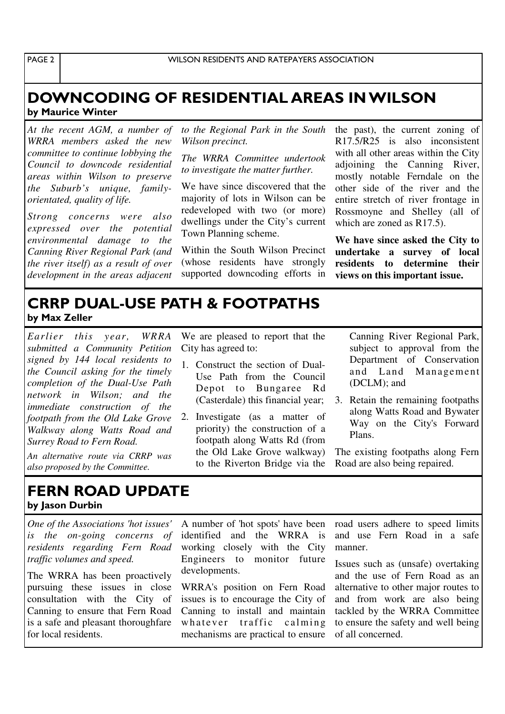PAGE<sub>2</sub>

## DOWNCODING OF RESIDENTIAL AREAS IN WILSON by Maurice Winter

*At the recent AGM, a number of WRRA members asked the new committee to continue lobbying the Council to downcode residential areas within Wilson to preserve the Suburb's unique, familyorientated, quality of life.*

*Strong concerns were also expressed over the potential environmental damage to the Canning River Regional Park (and the river itself) as a result of over development in the areas adjacent* *to the Regional Park in the South Wilson precinct.*

*The WRRA Committee undertook to investigate the matter further.*

We have since discovered that the majority of lots in Wilson can be redeveloped with two (or more) dwellings under the City's current Town Planning scheme.

Within the South Wilson Precinct (whose residents have strongly supported downcoding efforts in

We are pleased to report that the

1. Construct the section of Dual-Use Path from the Council Depot to Bungaree Rd (Casterdale) this financial year;

2. Investigate (as a matter of priority) the construction of a footpath along Watts Rd (from the Old Lake Grove walkway) to the Riverton Bridge via the

City has agreed to:

the past), the current zoning of R17.5/R25 is also inconsistent with all other areas within the City adjoining the Canning River, mostly notable Ferndale on the other side of the river and the entire stretch of river frontage in Rossmoyne and Shelley (all of which are zoned as R17.5).

**We have since asked the City to undertake a survey of local residents to determine their views on this important issue.**

## **CRRP DUAL-USE PATH & FOOTPATHS** by Max Zeller

*Earlier this year, WRRA submitted a Community Petition signed by 144 local residents to the Council asking for the timely completion of the Dual-Use Path network in Wilson; and the immediate construction of the footpath from the Old Lake Grove Walkway along Watts Road and Surrey Road to Fern Road.*

*An alternative route via CRRP was also proposed by the Committee.*

#### FERN ROAD UPDATE by Jason Durbin

*One of the Associations 'hot issues' is the on-going concerns of residents regarding Fern Road traffic volumes and speed.*

The WRRA has been proactively pursuing these issues in close consultation with the City of Canning to ensure that Fern Road is a safe and pleasant thoroughfare for local residents.

A number of 'hot spots' have been identified and the WRRA is working closely with the City Engineers to monitor future developments.

WRRA's position on Fern Road issues is to encourage the City of Canning to install and maintain whatever traffic calming mechanisms are practical to ensure Canning River Regional Park, subject to approval from the Department of Conservation and Land Management (DCLM); and

3. Retain the remaining footpaths along Watts Road and Bywater Way on the City's Forward Plans.

The existing footpaths along Fern Road are also being repaired.

road users adhere to speed limits and use Fern Road in a safe manner.

Issues such as (unsafe) overtaking and the use of Fern Road as an alternative to other major routes to and from work are also being tackled by the WRRA Committee to ensure the safety and well being of all concerned.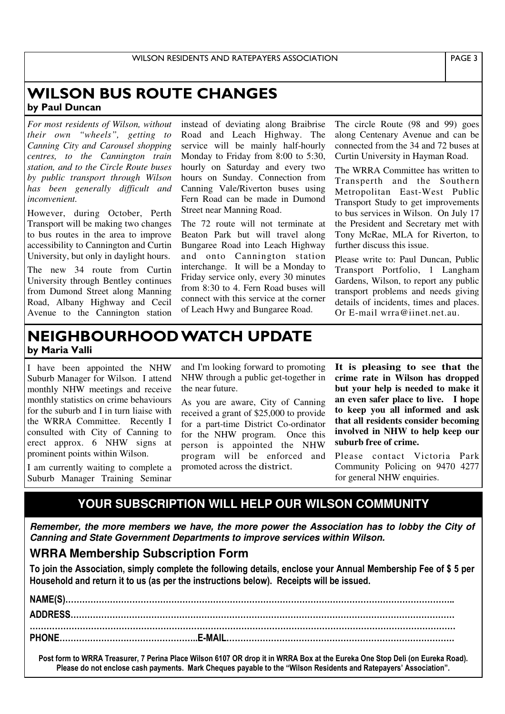## **WILSON BUS ROUTE CHANGES** by Paul Duncan

*For most residents of Wilson, without their own "wheels", getting to Canning City and Carousel shopping centres, to the Cannington train station, and to the Circle Route buses by public transport through Wilson has been generally difficult and inconvenient.*

However, during October, Perth Transport will be making two changes to bus routes in the area to improve accessibility to Cannington and Curtin University, but only in daylight hours.

The new 34 route from Curtin University through Bentley continues from Dumond Street along Manning Road, Albany Highway and Cecil Avenue to the Cannington station instead of deviating along Braibrise Road and Leach Highway. The service will be mainly half-hourly Monday to Friday from 8:00 to 5:30, hourly on Saturday and every two hours on Sunday. Connection from Canning Vale/Riverton buses using Fern Road can be made in Dumond Street near Manning Road.

The 72 route will not terminate at Beaton Park but will travel along Bungaree Road into Leach Highway and onto Cannington station interchange. It will be a Monday to Friday service only, every 30 minutes from 8:30 to 4. Fern Road buses will connect with this service at the corner of Leach Hwy and Bungaree Road.

The circle Route (98 and 99) goes along Centenary Avenue and can be connected from the 34 and 72 buses at Curtin University in Hayman Road.

The WRRA Committee has written to Transperth and the Southern Metropolitan East-West Public Transport Study to get improvements to bus services in Wilson. On July 17 the President and Secretary met with Tony McRae, MLA for Riverton, to further discuss this issue.

Please write to: Paul Duncan, Public Transport Portfolio, 1 Langham Gardens, Wilson, to report any public transport problems and needs giving details of incidents, times and places. Or E-mail wrra@iinet net au.

## NEIGHBOURHOOD WATCH UPDATE by Maria Valli

I have been appointed the NHW Suburb Manager for Wilson. I attend monthly NHW meetings and receive monthly statistics on crime behaviours for the suburb and I in turn liaise with the WRRA Committee. Recently I consulted with City of Canning to erect approx. 6 NHW signs at prominent points within Wilson.

I am currently waiting to complete a Suburb Manager Training Seminar

and I'm looking forward to promoting NHW through a public get-together in the near future.

As you are aware, City of Canning received a grant of \$25,000 to provide for a part-time District Co-ordinator for the NHW program. Once this person is appointed the NHW program will be enforced and promoted across the district.

**It is pleasing to see that the crime rate in Wilson has dropped but your help is needed to make it an even safer place to live. I hope to keep you all informed and ask that all residents consider becoming involved in NHW to help keep our suburb free of crime.**

Please contact Victoria Park Community Policing on 9470 4277 for general NHW enquiries.

## **YOUR SUBSCRIPTION WILL HELP OUR WILSON COMMUNITY**

*Remember, the more members we have, the more power the Association has to lobby the City of Canning and State Government Departments to improve services within Wilson.*

## **WRRA Membership Subscription Form**

To join the Association, simply complete the following details, enclose your Annual Membership Fee of \$ 5 per Household and return it to us (as per the instructions below). Receipts will be issued.

# \$ % &&&&&&&&&&&&&&&&&&&&&&&&&&&&&&&&&&&&&&&&&&&&&&!! ' ' " \$ % % &&&&&&&&&&&&&&&&&&&&&&&&&&&&&&&&&&&&&&&&&&&&&& &&&&&&&&&&&&&&&&&&&&&&&&&&&&&&&&&&&&&&&&&&&&&&&&&&& ( ) # \$ &&&&&&&&&&&&&&&&!!\$ \* +, &&&&&&&&&&&&&&&&&&&&&&&&&&&!

Post form to WRRA Treasurer, 7 Perina Place Wilson 6107 OR drop it in WRRA Box at the Eureka One Stop Deli (on Eureka Road). Please do not enclose cash payments. Mark Cheques payable to the "Wilson Residents and Ratepayers' Association".

PAGE 3